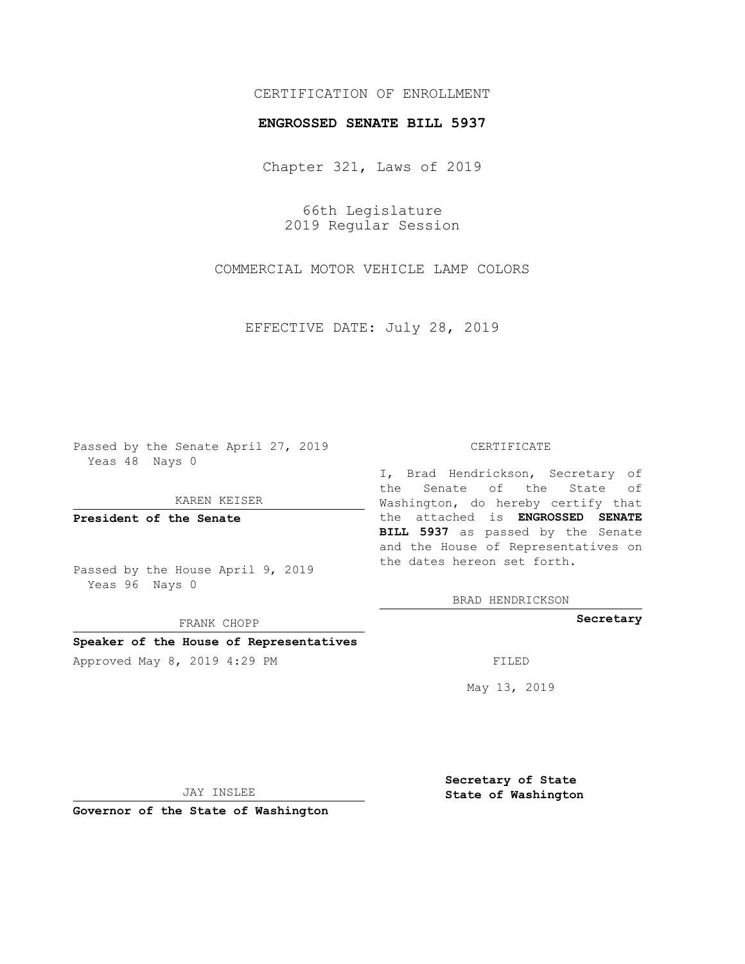## CERTIFICATION OF ENROLLMENT

### **ENGROSSED SENATE BILL 5937**

Chapter 321, Laws of 2019

66th Legislature 2019 Regular Session

COMMERCIAL MOTOR VEHICLE LAMP COLORS

EFFECTIVE DATE: July 28, 2019

Passed by the Senate April 27, 2019 Yeas 48 Nays 0

KAREN KEISER

**President of the Senate**

Passed by the House April 9, 2019 Yeas 96 Nays 0

FRANK CHOPP

**Speaker of the House of Representatives**

Approved May 8, 2019 4:29 PM

#### CERTIFICATE

I, Brad Hendrickson, Secretary of the Senate of the State of Washington, do hereby certify that the attached is **ENGROSSED SENATE BILL 5937** as passed by the Senate and the House of Representatives on the dates hereon set forth.

BRAD HENDRICKSON

**Secretary**

May 13, 2019

JAY INSLEE

**Governor of the State of Washington**

**Secretary of State State of Washington**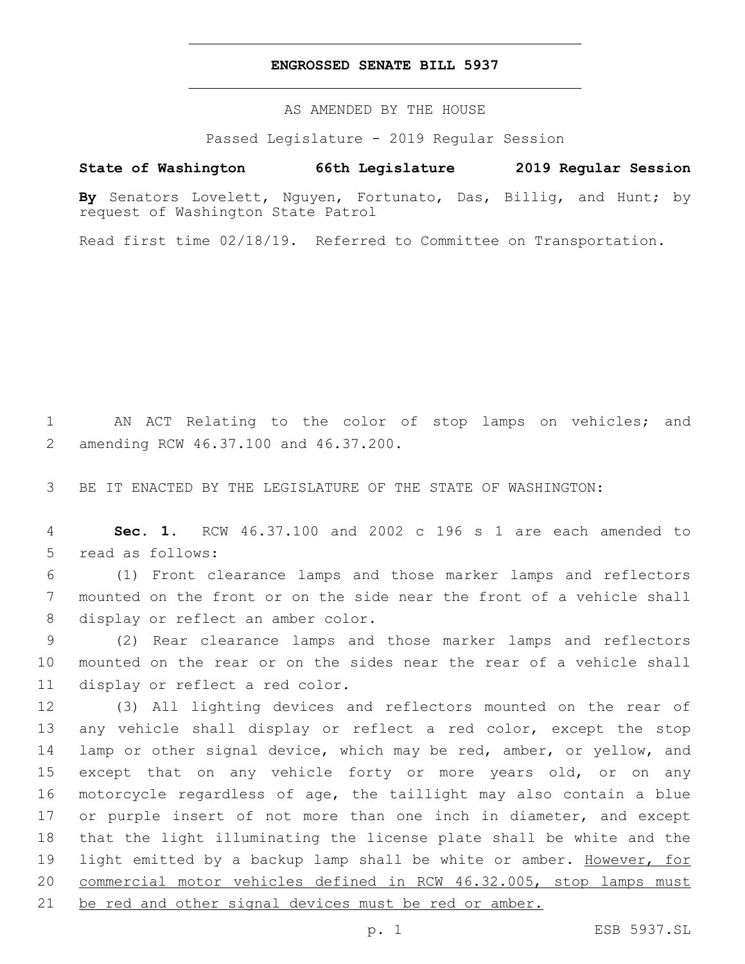## **ENGROSSED SENATE BILL 5937**

AS AMENDED BY THE HOUSE

Passed Legislature - 2019 Regular Session

# **State of Washington 66th Legislature 2019 Regular Session**

**By** Senators Lovelett, Nguyen, Fortunato, Das, Billig, and Hunt; by request of Washington State Patrol

Read first time 02/18/19. Referred to Committee on Transportation.

1 AN ACT Relating to the color of stop lamps on vehicles; and amending RCW 46.37.100 and 46.37.200.2

3 BE IT ENACTED BY THE LEGISLATURE OF THE STATE OF WASHINGTON:

4 **Sec. 1.** RCW 46.37.100 and 2002 c 196 s 1 are each amended to 5 read as follows:

6 (1) Front clearance lamps and those marker lamps and reflectors 7 mounted on the front or on the side near the front of a vehicle shall 8 display or reflect an amber color.

9 (2) Rear clearance lamps and those marker lamps and reflectors 10 mounted on the rear or on the sides near the rear of a vehicle shall 11 display or reflect a red color.

 (3) All lighting devices and reflectors mounted on the rear of any vehicle shall display or reflect a red color, except the stop lamp or other signal device, which may be red, amber, or yellow, and except that on any vehicle forty or more years old, or on any motorcycle regardless of age, the taillight may also contain a blue 17 or purple insert of not more than one inch in diameter, and except that the light illuminating the license plate shall be white and the 19 light emitted by a backup lamp shall be white or amber. However, for commercial motor vehicles defined in RCW 46.32.005, stop lamps must 21 be red and other signal devices must be red or amber.

p. 1 ESB 5937.SL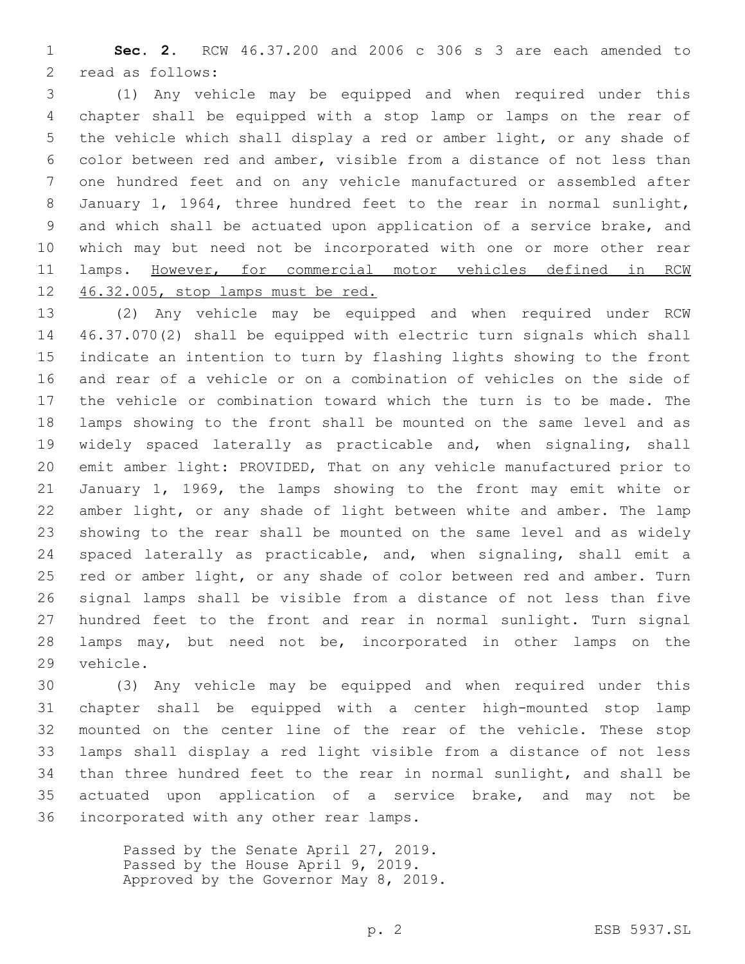**Sec. 2.** RCW 46.37.200 and 2006 c 306 s 3 are each amended to 2 read as follows:

 (1) Any vehicle may be equipped and when required under this chapter shall be equipped with a stop lamp or lamps on the rear of the vehicle which shall display a red or amber light, or any shade of color between red and amber, visible from a distance of not less than one hundred feet and on any vehicle manufactured or assembled after January 1, 1964, three hundred feet to the rear in normal sunlight, and which shall be actuated upon application of a service brake, and which may but need not be incorporated with one or more other rear 11 lamps. However, for commercial motor vehicles defined in RCW 46.32.005, stop lamps must be red.

 (2) Any vehicle may be equipped and when required under RCW 46.37.070(2) shall be equipped with electric turn signals which shall indicate an intention to turn by flashing lights showing to the front and rear of a vehicle or on a combination of vehicles on the side of the vehicle or combination toward which the turn is to be made. The lamps showing to the front shall be mounted on the same level and as 19 widely spaced laterally as practicable and, when signaling, shall emit amber light: PROVIDED, That on any vehicle manufactured prior to January 1, 1969, the lamps showing to the front may emit white or amber light, or any shade of light between white and amber. The lamp showing to the rear shall be mounted on the same level and as widely spaced laterally as practicable, and, when signaling, shall emit a 25 red or amber light, or any shade of color between red and amber. Turn signal lamps shall be visible from a distance of not less than five hundred feet to the front and rear in normal sunlight. Turn signal lamps may, but need not be, incorporated in other lamps on the 29 vehicle.

 (3) Any vehicle may be equipped and when required under this chapter shall be equipped with a center high-mounted stop lamp mounted on the center line of the rear of the vehicle. These stop lamps shall display a red light visible from a distance of not less than three hundred feet to the rear in normal sunlight, and shall be actuated upon application of a service brake, and may not be 36 incorporated with any other rear lamps.

> Passed by the Senate April 27, 2019. Passed by the House April 9, 2019. Approved by the Governor May 8, 2019.